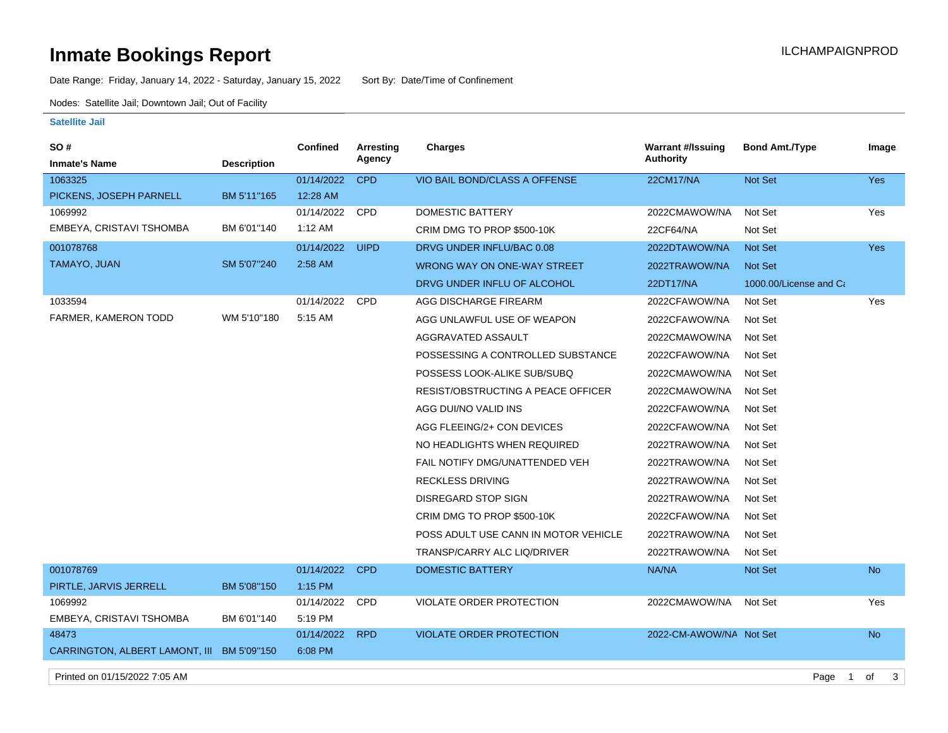# **Inmate Bookings Report Installation Control Control Control Control Control Control Control Control Control Control Control Control Control Control Control Control Control Control Control Control Control Control Control**

Date Range: Friday, January 14, 2022 - Saturday, January 15, 2022 Sort By: Date/Time of Confinement

Nodes: Satellite Jail; Downtown Jail; Out of Facility

#### **Satellite Jail**

| SO#                            |                    | <b>Confined</b> | Arresting   | <b>Charges</b>                            | <b>Warrant #/Issuing</b> | <b>Bond Amt./Type</b>  | Image     |
|--------------------------------|--------------------|-----------------|-------------|-------------------------------------------|--------------------------|------------------------|-----------|
| <b>Inmate's Name</b>           | <b>Description</b> |                 | Agency      |                                           | <b>Authority</b>         |                        |           |
| 1063325                        |                    | 01/14/2022      | <b>CPD</b>  | VIO BAIL BOND/CLASS A OFFENSE             | 22CM17/NA                | Not Set                | Yes       |
| PICKENS, JOSEPH PARNELL        | BM 5'11"165        | 12:28 AM        |             |                                           |                          |                        |           |
| 1069992                        |                    | 01/14/2022      | CPD         | DOMESTIC BATTERY                          | 2022CMAWOW/NA            | Not Set                | Yes       |
| EMBEYA, CRISTAVI TSHOMBA       | BM 6'01"140        | 1:12 AM         |             | CRIM DMG TO PROP \$500-10K                | 22CF64/NA                | Not Set                |           |
| 001078768                      |                    | 01/14/2022      | <b>UIPD</b> | DRVG UNDER INFLU/BAC 0.08                 | 2022DTAWOW/NA            | Not Set                | Yes       |
| TAMAYO, JUAN                   | SM 5'07"240        | 2:58 AM         |             | WRONG WAY ON ONE-WAY STREET               | 2022TRAWOW/NA            | <b>Not Set</b>         |           |
|                                |                    |                 |             | DRVG UNDER INFLU OF ALCOHOL               | 22DT17/NA                | 1000.00/License and Ca |           |
| 1033594                        |                    | 01/14/2022      | CPD         | AGG DISCHARGE FIREARM                     | 2022CFAWOW/NA            | Not Set                | Yes       |
| FARMER, KAMERON TODD           | WM 5'10"180        | 5:15 AM         |             | AGG UNLAWFUL USE OF WEAPON                | 2022CFAWOW/NA            | Not Set                |           |
|                                |                    |                 |             | AGGRAVATED ASSAULT                        | 2022CMAWOW/NA            | Not Set                |           |
|                                |                    |                 |             | POSSESSING A CONTROLLED SUBSTANCE         | 2022CFAWOW/NA            | Not Set                |           |
|                                |                    |                 |             | POSSESS LOOK-ALIKE SUB/SUBQ               | 2022CMAWOW/NA            | Not Set                |           |
|                                |                    |                 |             | <b>RESIST/OBSTRUCTING A PEACE OFFICER</b> | 2022CMAWOW/NA            | Not Set                |           |
|                                |                    |                 |             | AGG DUI/NO VALID INS                      | 2022CFAWOW/NA            | Not Set                |           |
|                                |                    |                 |             | AGG FLEEING/2+ CON DEVICES                | 2022CFAWOW/NA            | Not Set                |           |
|                                |                    |                 |             | NO HEADLIGHTS WHEN REQUIRED               | 2022TRAWOW/NA            | Not Set                |           |
|                                |                    |                 |             | FAIL NOTIFY DMG/UNATTENDED VEH            | 2022TRAWOW/NA            | Not Set                |           |
|                                |                    |                 |             | <b>RECKLESS DRIVING</b>                   | 2022TRAWOW/NA            | Not Set                |           |
|                                |                    |                 |             | <b>DISREGARD STOP SIGN</b>                | 2022TRAWOW/NA            | Not Set                |           |
|                                |                    |                 |             | CRIM DMG TO PROP \$500-10K                | 2022CFAWOW/NA            | Not Set                |           |
|                                |                    |                 |             | POSS ADULT USE CANN IN MOTOR VEHICLE      | 2022TRAWOW/NA            | Not Set                |           |
|                                |                    |                 |             | TRANSP/CARRY ALC LIQ/DRIVER               | 2022TRAWOW/NA            | Not Set                |           |
| 001078769                      |                    | 01/14/2022      | <b>CPD</b>  | <b>DOMESTIC BATTERY</b>                   | NA/NA                    | Not Set                | <b>No</b> |
| PIRTLE, JARVIS JERRELL         | BM 5'08"150        | $1:15$ PM       |             |                                           |                          |                        |           |
| 1069992                        |                    | 01/14/2022      | <b>CPD</b>  | VIOLATE ORDER PROTECTION                  | 2022CMAWOW/NA            | Not Set                | Yes       |
| EMBEYA, CRISTAVI TSHOMBA       | BM 6'01"140        | 5:19 PM         |             |                                           |                          |                        |           |
| 48473                          |                    | 01/14/2022      | <b>RPD</b>  | <b>VIOLATE ORDER PROTECTION</b>           | 2022-CM-AWOW/NA Not Set  |                        | <b>No</b> |
| CARRINGTON, ALBERT LAMONT, III | BM 5'09"150        | 6:08 PM         |             |                                           |                          |                        |           |
|                                |                    |                 |             |                                           |                          |                        |           |

Printed on 01/15/2022 7:05 AM **Page 1 of 3**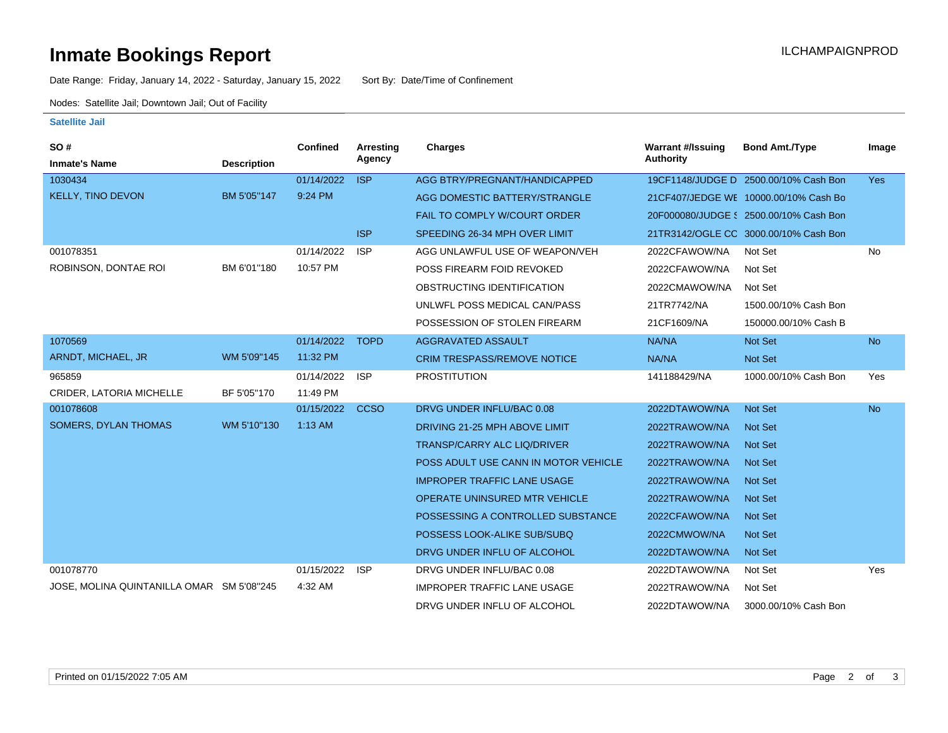### **Inmate Bookings Report International Contract Contract Contract Contract Contract Contract Contract Contract Contract Contract Contract Contract Contract Contract Contract Contract Contract Contract Contract Contract Co**

Date Range: Friday, January 14, 2022 - Saturday, January 15, 2022 Sort By: Date/Time of Confinement

Nodes: Satellite Jail; Downtown Jail; Out of Facility

#### **Satellite Jail**

| SO#                                       |                    | <b>Confined</b> | <b>Arresting</b> | <b>Charges</b>                       | <b>Warrant #/Issuing</b><br><b>Authority</b> | <b>Bond Amt./Type</b>                  | Image      |
|-------------------------------------------|--------------------|-----------------|------------------|--------------------------------------|----------------------------------------------|----------------------------------------|------------|
| <b>Inmate's Name</b>                      | <b>Description</b> |                 | Agency           |                                      |                                              |                                        |            |
| 1030434                                   |                    | 01/14/2022      | <b>ISP</b>       | AGG BTRY/PREGNANT/HANDICAPPED        |                                              | 19CF1148/JUDGE D 2500.00/10% Cash Bon  | <b>Yes</b> |
| <b>KELLY, TINO DEVON</b>                  | BM 5'05"147        | 9:24 PM         |                  | AGG DOMESTIC BATTERY/STRANGLE        |                                              | 21CF407/JEDGE WE 10000.00/10% Cash Bo  |            |
|                                           |                    |                 |                  | <b>FAIL TO COMPLY W/COURT ORDER</b>  |                                              | 20F000080/JUDGE : 2500.00/10% Cash Bon |            |
|                                           |                    |                 | <b>ISP</b>       | SPEEDING 26-34 MPH OVER LIMIT        |                                              | 21TR3142/OGLE CC 3000.00/10% Cash Bon  |            |
| 001078351                                 |                    | 01/14/2022      | <b>ISP</b>       | AGG UNLAWFUL USE OF WEAPON/VEH       | 2022CFAWOW/NA                                | Not Set                                | <b>No</b>  |
| ROBINSON, DONTAE ROI                      | BM 6'01"180        | 10:57 PM        |                  | POSS FIREARM FOID REVOKED            | 2022CFAWOW/NA                                | Not Set                                |            |
|                                           |                    |                 |                  | OBSTRUCTING IDENTIFICATION           | 2022CMAWOW/NA                                | Not Set                                |            |
|                                           |                    |                 |                  | UNLWFL POSS MEDICAL CAN/PASS         | 21TR7742/NA                                  | 1500.00/10% Cash Bon                   |            |
|                                           |                    |                 |                  | POSSESSION OF STOLEN FIREARM         | 21CF1609/NA                                  | 150000.00/10% Cash B                   |            |
| 1070569                                   |                    | 01/14/2022      | <b>TOPD</b>      | AGGRAVATED ASSAULT                   | NA/NA                                        | Not Set                                | <b>No</b>  |
| ARNDT, MICHAEL, JR                        | WM 5'09"145        | 11:32 PM        |                  | <b>CRIM TRESPASS/REMOVE NOTICE</b>   | NA/NA                                        | Not Set                                |            |
| 965859                                    |                    | 01/14/2022      | <b>ISP</b>       | <b>PROSTITUTION</b>                  | 141188429/NA                                 | 1000.00/10% Cash Bon                   | Yes        |
| CRIDER, LATORIA MICHELLE                  | BF 5'05"170        | 11:49 PM        |                  |                                      |                                              |                                        |            |
| 001078608                                 |                    | 01/15/2022      | <b>CCSO</b>      | DRVG UNDER INFLU/BAC 0.08            | 2022DTAWOW/NA                                | <b>Not Set</b>                         | <b>No</b>  |
| SOMERS, DYLAN THOMAS                      | WM 5'10"130        | 1:13 AM         |                  | DRIVING 21-25 MPH ABOVE LIMIT        | 2022TRAWOW/NA                                | <b>Not Set</b>                         |            |
|                                           |                    |                 |                  | <b>TRANSP/CARRY ALC LIQ/DRIVER</b>   | 2022TRAWOW/NA                                | <b>Not Set</b>                         |            |
|                                           |                    |                 |                  | POSS ADULT USE CANN IN MOTOR VEHICLE | 2022TRAWOW/NA                                | <b>Not Set</b>                         |            |
|                                           |                    |                 |                  | <b>IMPROPER TRAFFIC LANE USAGE</b>   | 2022TRAWOW/NA                                | <b>Not Set</b>                         |            |
|                                           |                    |                 |                  | OPERATE UNINSURED MTR VEHICLE        | 2022TRAWOW/NA                                | <b>Not Set</b>                         |            |
|                                           |                    |                 |                  | POSSESSING A CONTROLLED SUBSTANCE    | 2022CFAWOW/NA                                | <b>Not Set</b>                         |            |
|                                           |                    |                 |                  | POSSESS LOOK-ALIKE SUB/SUBQ          | 2022CMWOW/NA                                 | <b>Not Set</b>                         |            |
|                                           |                    |                 |                  | DRVG UNDER INFLU OF ALCOHOL          | 2022DTAWOW/NA                                | <b>Not Set</b>                         |            |
| 001078770                                 |                    | 01/15/2022      | <b>ISP</b>       | DRVG UNDER INFLU/BAC 0.08            | 2022DTAWOW/NA                                | Not Set                                | Yes        |
| JOSE, MOLINA QUINTANILLA OMAR SM 5'08"245 |                    | 4:32 AM         |                  | <b>IMPROPER TRAFFIC LANE USAGE</b>   | 2022TRAWOW/NA                                | Not Set                                |            |
|                                           |                    |                 |                  | DRVG UNDER INFLU OF ALCOHOL          | 2022DTAWOW/NA                                | 3000.00/10% Cash Bon                   |            |